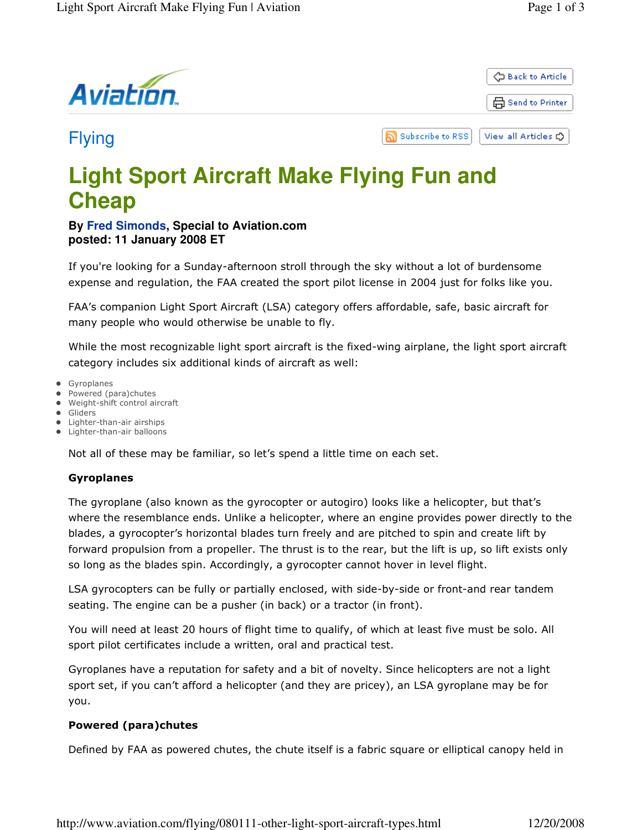

Flying

வ **Subscribe to RSS** View all Articles C

# **Light Sport Aircraft Make Flying Fun and Cheap**

# **By Fred Simonds, Special to Aviation.com posted: 11 January 2008 ET**

If you're looking for a Sunday-afternoon stroll through the sky without a lot of burdensome expense and regulation, the FAA created the sport pilot license in 2004 just for folks like you.

FAA's companion Light Sport Aircraft (LSA) category offers affordable, safe, basic aircraft for many people who would otherwise be unable to fly.

While the most recognizable light sport aircraft is the fixed-wing airplane, the light sport aircraft category includes six additional kinds of aircraft as well:

- Gyroplanes
- Powered (para)chutes
- Weight-shift control aircraft
- Gliders
- **•** Lighter-than-air airships • Lighter-than-air balloons

Not all of these may be familiar, so let's spend a little time on each set.

## Gyroplanes

The gyroplane (also known as the gyrocopter or autogiro) looks like a helicopter, but that's where the resemblance ends. Unlike a helicopter, where an engine provides power directly to the blades, a gyrocopter's horizontal blades turn freely and are pitched to spin and create lift by forward propulsion from a propeller. The thrust is to the rear, but the lift is up, so lift exists only so long as the blades spin. Accordingly, a gyrocopter cannot hover in level flight.

LSA gyrocopters can be fully or partially enclosed, with side-by-side or front-and rear tandem seating. The engine can be a pusher (in back) or a tractor (in front).

You will need at least 20 hours of flight time to qualify, of which at least five must be solo. All sport pilot certificates include a written, oral and practical test.

Gyroplanes have a reputation for safety and a bit of novelty. Since helicopters are not a light sport set, if you can't afford a helicopter (and they are pricey), an LSA gyroplane may be for you.

# Powered (para)chutes

Defined by FAA as powered chutes, the chute itself is a fabric square or elliptical canopy held in

http://www.aviation.com/flying/080111-other-light-sport-aircraft-types.html 12/20/2008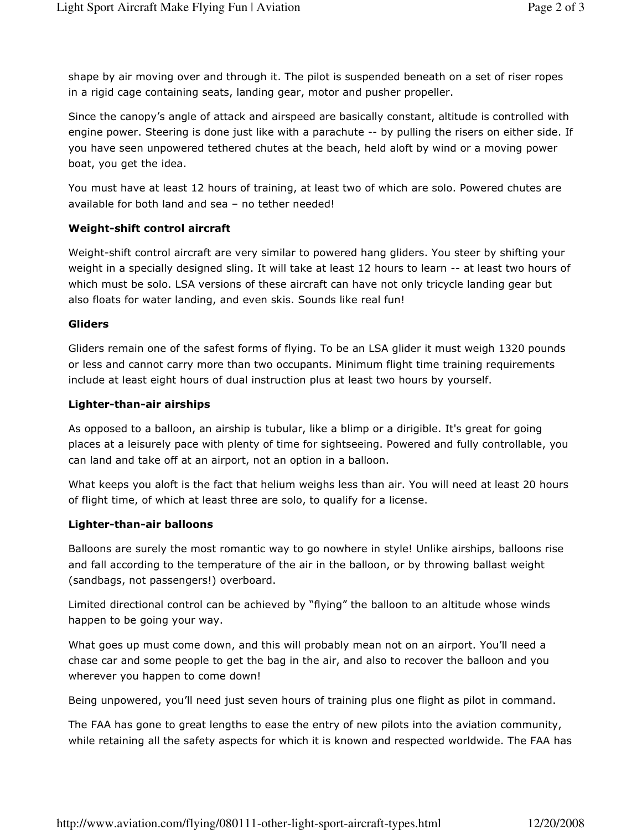shape by air moving over and through it. The pilot is suspended beneath on a set of riser ropes in a rigid cage containing seats, landing gear, motor and pusher propeller.

Since the canopy's angle of attack and airspeed are basically constant, altitude is controlled with engine power. Steering is done just like with a parachute -- by pulling the risers on either side. If you have seen unpowered tethered chutes at the beach, held aloft by wind or a moving power boat, you get the idea.

You must have at least 12 hours of training, at least two of which are solo. Powered chutes are available for both land and sea – no tether needed!

## Weight-shift control aircraft

Weight-shift control aircraft are very similar to powered hang gliders. You steer by shifting your weight in a specially designed sling. It will take at least 12 hours to learn -- at least two hours of which must be solo. LSA versions of these aircraft can have not only tricycle landing gear but also floats for water landing, and even skis. Sounds like real fun!

#### Gliders

Gliders remain one of the safest forms of flying. To be an LSA glider it must weigh 1320 pounds or less and cannot carry more than two occupants. Minimum flight time training requirements include at least eight hours of dual instruction plus at least two hours by yourself.

### Lighter-than-air airships

As opposed to a balloon, an airship is tubular, like a blimp or a dirigible. It's great for going places at a leisurely pace with plenty of time for sightseeing. Powered and fully controllable, you can land and take off at an airport, not an option in a balloon.

What keeps you aloft is the fact that helium weighs less than air. You will need at least 20 hours of flight time, of which at least three are solo, to qualify for a license.

### Lighter-than-air balloons

Balloons are surely the most romantic way to go nowhere in style! Unlike airships, balloons rise and fall according to the temperature of the air in the balloon, or by throwing ballast weight (sandbags, not passengers!) overboard.

Limited directional control can be achieved by "flying" the balloon to an altitude whose winds happen to be going your way.

What goes up must come down, and this will probably mean not on an airport. You'll need a chase car and some people to get the bag in the air, and also to recover the balloon and you wherever you happen to come down!

Being unpowered, you'll need just seven hours of training plus one flight as pilot in command.

The FAA has gone to great lengths to ease the entry of new pilots into the aviation community, while retaining all the safety aspects for which it is known and respected worldwide. The FAA has